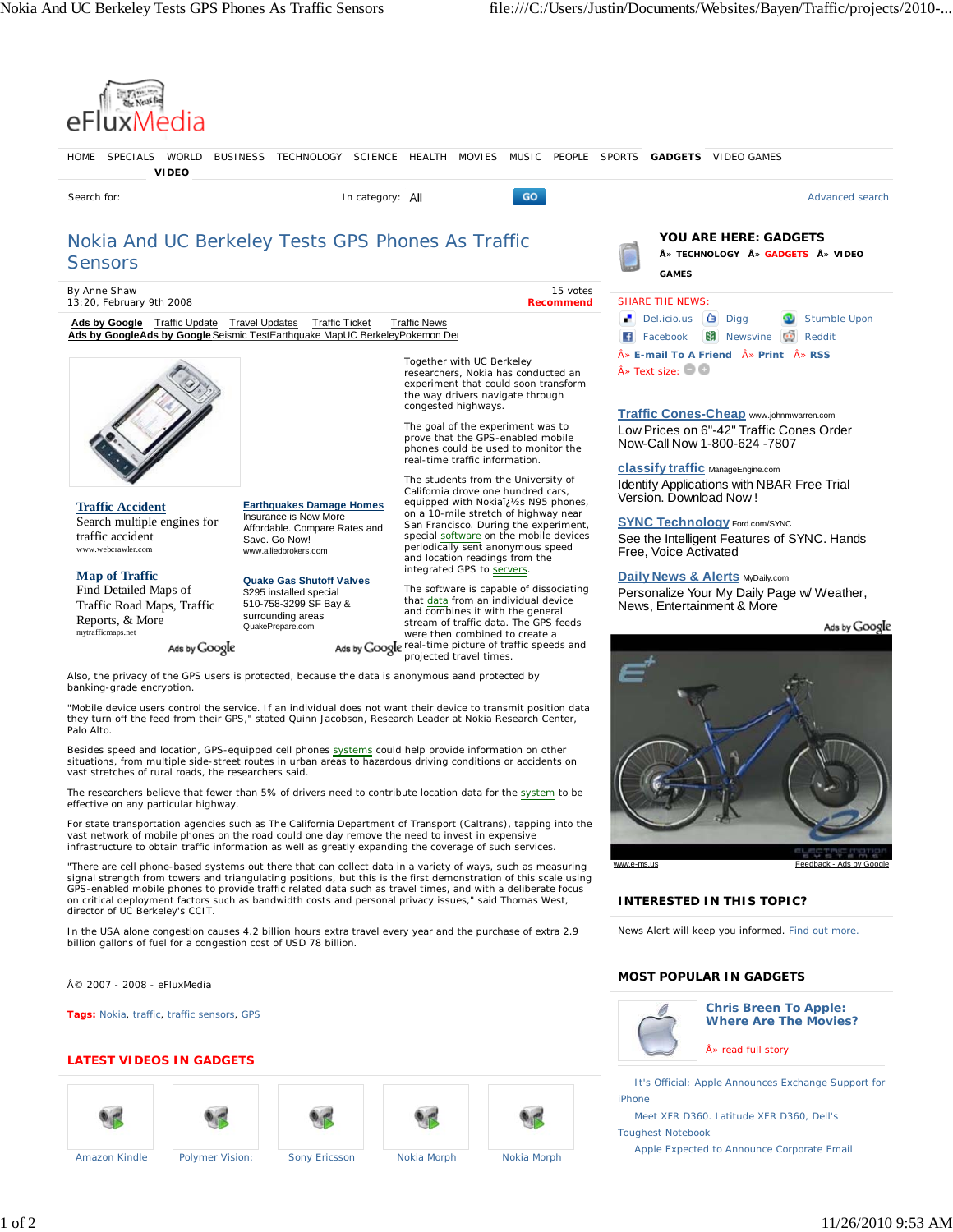